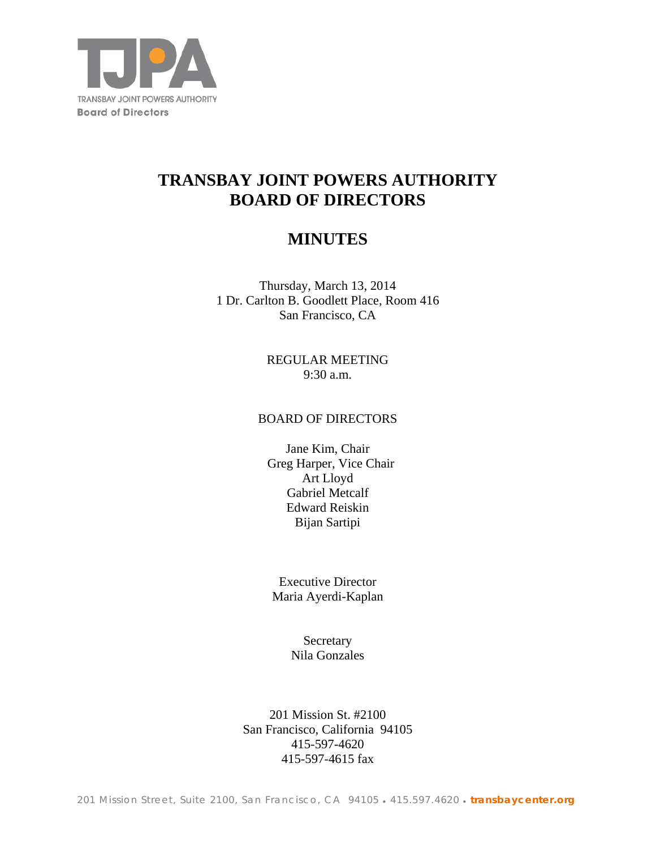

# **TRANSBAY JOINT POWERS AUTHORITY BOARD OF DIRECTORS**

# **MINUTES**

Thursday, March 13, 2014 1 Dr. Carlton B. Goodlett Place, Room 416 San Francisco, CA

> REGULAR MEETING 9:30 a.m.

### BOARD OF DIRECTORS

Jane Kim, Chair Greg Harper, Vice Chair Art Lloyd Gabriel Metcalf Edward Reiskin Bijan Sartipi

Executive Director Maria Ayerdi-Kaplan

> **Secretary** Nila Gonzales

201 Mission St. #2100 San Francisco, California 94105 415-597-4620 415-597-4615 fax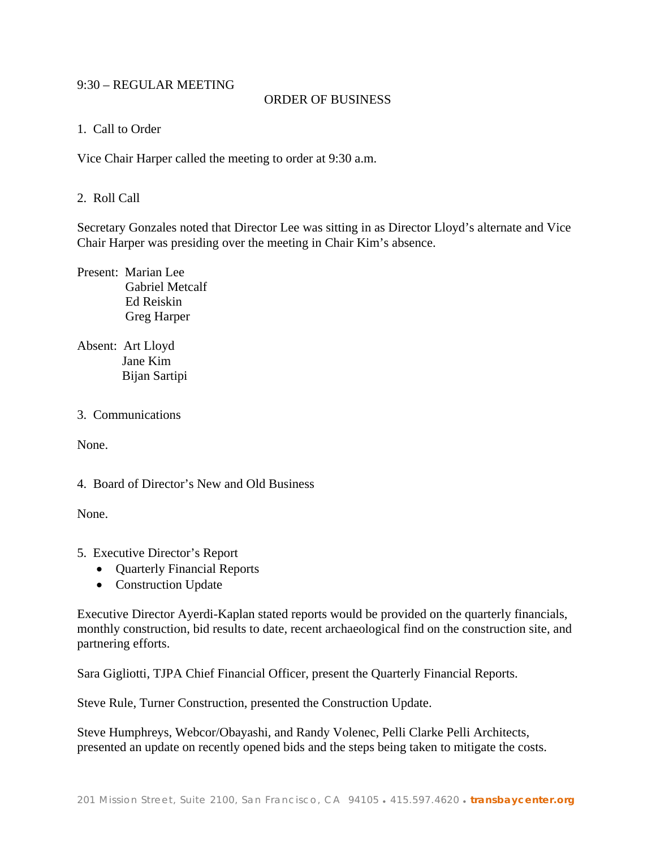#### 9:30 – REGULAR MEETING

#### ORDER OF BUSINESS

1. Call to Order

Vice Chair Harper called the meeting to order at 9:30 a.m.

#### 2. Roll Call

Secretary Gonzales noted that Director Lee was sitting in as Director Lloyd's alternate and Vice Chair Harper was presiding over the meeting in Chair Kim's absence.

Present: Marian Lee Gabriel Metcalf Ed Reiskin Greg Harper

Absent: Art Lloyd Jane Kim Bijan Sartipi

#### 3. Communications

None.

4. Board of Director's New and Old Business

None.

- 5. Executive Director's Report
	- **Quarterly Financial Reports**
	- Construction Update

Executive Director Ayerdi-Kaplan stated reports would be provided on the quarterly financials, monthly construction, bid results to date, recent archaeological find on the construction site, and partnering efforts.

Sara Gigliotti, TJPA Chief Financial Officer, present the Quarterly Financial Reports.

Steve Rule, Turner Construction, presented the Construction Update.

Steve Humphreys, Webcor/Obayashi, and Randy Volenec, Pelli Clarke Pelli Architects, presented an update on recently opened bids and the steps being taken to mitigate the costs.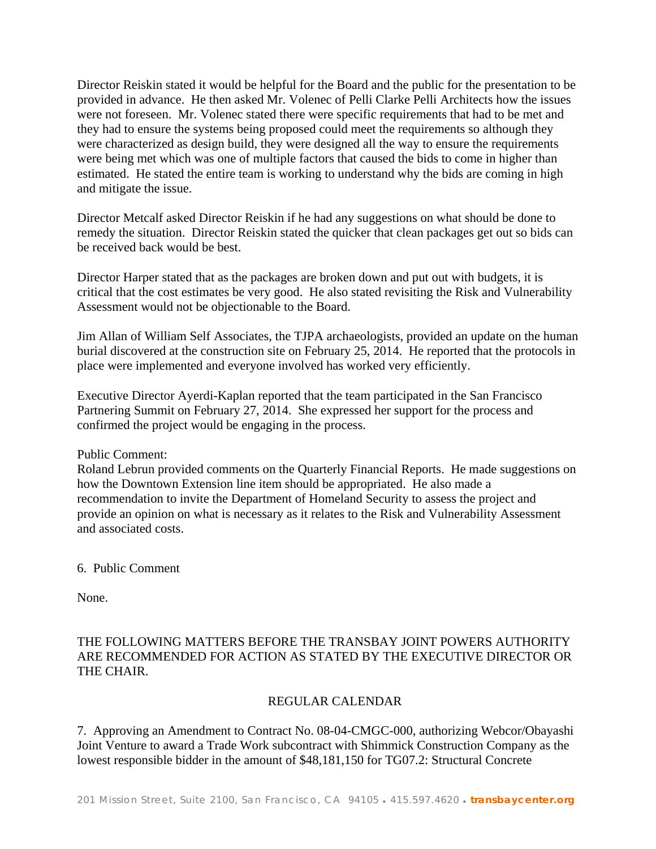Director Reiskin stated it would be helpful for the Board and the public for the presentation to be provided in advance. He then asked Mr. Volenec of Pelli Clarke Pelli Architects how the issues were not foreseen. Mr. Volenec stated there were specific requirements that had to be met and they had to ensure the systems being proposed could meet the requirements so although they were characterized as design build, they were designed all the way to ensure the requirements were being met which was one of multiple factors that caused the bids to come in higher than estimated. He stated the entire team is working to understand why the bids are coming in high and mitigate the issue.

Director Metcalf asked Director Reiskin if he had any suggestions on what should be done to remedy the situation. Director Reiskin stated the quicker that clean packages get out so bids can be received back would be best.

Director Harper stated that as the packages are broken down and put out with budgets, it is critical that the cost estimates be very good. He also stated revisiting the Risk and Vulnerability Assessment would not be objectionable to the Board.

Jim Allan of William Self Associates, the TJPA archaeologists, provided an update on the human burial discovered at the construction site on February 25, 2014. He reported that the protocols in place were implemented and everyone involved has worked very efficiently.

Executive Director Ayerdi-Kaplan reported that the team participated in the San Francisco Partnering Summit on February 27, 2014. She expressed her support for the process and confirmed the project would be engaging in the process.

Public Comment:

Roland Lebrun provided comments on the Quarterly Financial Reports. He made suggestions on how the Downtown Extension line item should be appropriated. He also made a recommendation to invite the Department of Homeland Security to assess the project and provide an opinion on what is necessary as it relates to the Risk and Vulnerability Assessment and associated costs.

6. Public Comment

None.

# THE FOLLOWING MATTERS BEFORE THE TRANSBAY JOINT POWERS AUTHORITY ARE RECOMMENDED FOR ACTION AS STATED BY THE EXECUTIVE DIRECTOR OR THE CHAIR.

# REGULAR CALENDAR

7. Approving an Amendment to Contract No. 08-04-CMGC-000, authorizing Webcor/Obayashi Joint Venture to award a Trade Work subcontract with Shimmick Construction Company as the lowest responsible bidder in the amount of \$48,181,150 for TG07.2: Structural Concrete